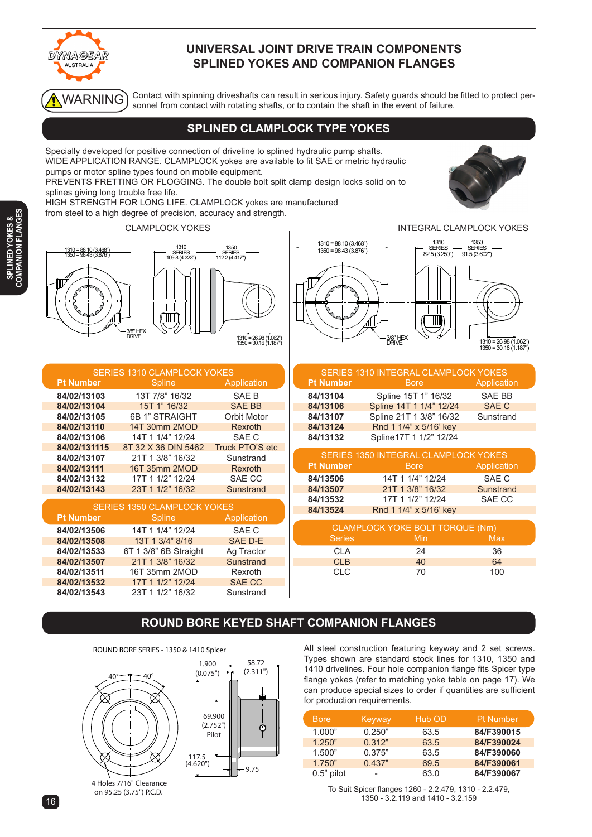

#### **UNIVERSAL JOINT DRIVE TRAIN COMPONENTS SPLINED YOKES AND COMPANION FLANGES**

WARNING

Contact with spinning driveshafts can result in serious injury. Safety guards should be fitted to protect personnel from contact with rotating shafts, or to contain the shaft in the event of failure.

## **SPLINED CLAMPLOCK TYPE YOKES**

Specially developed for positive connection of driveline to splined hydraulic pump shafts. WIDE APPLICATION RANGE. CLAMPLOCK yokes are available to fit SAE or metric hydraulic pumps or motor spline types found on mobile equipment.

PREVENTS FRETTING OR FLOGGING. The double bolt split clamp design locks solid on to splines giving long trouble free life.

HIGH STRENGTH FOR LONG LIFE. CLAMPLOCK yokes are manufactured

from steel to a high degree of precision, accuracy and strength.

CLAMPLOCK YOKES INTEGRAL CLAMPLOCK YOKES





| <b>SERIES 1310 CLAMPLOCK YOKES</b> |                     |                 |  |  |
|------------------------------------|---------------------|-----------------|--|--|
| <b>Pt Number</b>                   | <b>Spline</b>       | Application     |  |  |
| 84/02/13103                        | 13T 7/8" 16/32      | SAE B           |  |  |
| 84/02/13104                        | 15T 1" 16/32        | <b>SAE BB</b>   |  |  |
| 84/02/13105                        | 6B 1" STRAIGHT      | Orbit Motor     |  |  |
| 84/02/13110                        | 14T 30mm 2MOD       | Rexroth         |  |  |
| 84/02/13106                        | 14T 1 1/4" 12/24    | SAF C           |  |  |
| 84/02/131115                       | 8T 32 X 36 DIN 5462 | Truck PTO'S etc |  |  |
| 84/02/13107                        | 21T 1 3/8" 16/32    | Sunstrand       |  |  |
| 84/02/13111                        | 16T 35mm 2MOD       | Rexroth         |  |  |
| 84/02/13132                        | 17T 1 1/2" 12/24    | SAE CC          |  |  |
| 84/02/13143                        | 23T 1 1/2" 16/32    | Sunstrand       |  |  |

| <b>SERIES 1350 CLAMPLOCK YOKES</b> |                       |               |  |  |
|------------------------------------|-----------------------|---------------|--|--|
| <b>Pt Number</b>                   | <b>Spline</b>         | Application   |  |  |
| 84/02/13506                        | 14T 1 1/4" 12/24      | SAE C         |  |  |
| 84/02/13508                        | 13T 1 3/4" 8/16       | SAE D-E       |  |  |
| 84/02/13533                        | 6T 1 3/8" 6B Straight | Ag Tractor    |  |  |
| 84/02/13507                        | 21T 1 3/8" 16/32      | Sunstrand     |  |  |
| 84/02/13511                        | 16T 35mm 2MOD         | Rexroth       |  |  |
| 84/02/13532                        | 17T 1 1/2" 12/24      | <b>SAE CC</b> |  |  |
| 84/02/13543                        | 23T 1 1/2" 16/32      | Sunstrand     |  |  |

# 1310 =88.10 (3.468") <sup>1310</sup> SERIES 82.5 (3.250") <sup>1350</sup> SERIES 91.5 (3.602")  $1350 = 98.43 (3.876")$  $\mathbf{||}$  $\mathbf{\mathbf{\mathsf{I}}}\mathbf{\mathsf{I}}$ AIIIII

 $3/8"$  HEX<br>DRIVE

 $1310 = 26.98 (1.062"$ <br> $1350 = 30.16 (1.187"$ 

|                  | <b>SERIES 1310 INTEGRAL CLAMPLOCK YOKES</b> |               |
|------------------|---------------------------------------------|---------------|
| <b>Pt Number</b> | <b>Bore</b>                                 | Application   |
| 84/13104         | Spline 15T 1" 16/32                         | <b>SAE BB</b> |
| 84/13106         | Spline 14T 1 1/4" 12/24                     | <b>SAE C</b>  |
| 84/13107         | Spline 21T 1 3/8" 16/32                     | Sunstrand     |
| 84/13124         | Rnd 1 1/4" x 5/16' key                      |               |
| 84/13132         | Spline17T 1 1/2" 12/24                      |               |
|                  | <b>SERIES 1350 INTEGRAL CLAMPLOCK YOKES</b> |               |
| <b>Pt Number</b> | <b>Bore</b>                                 | Application   |
| 84/13506         | 14T 1 1/4" 12/24                            | SAE C         |
| 84/13507         | 21T 1 3/8" 16/32                            | Sunstrand     |
| 84/13532         | 17T 1 1/2" 12/24                            | SAE CC        |
| 84/13524         | Rnd 1 1/4" x 5/16' key                      |               |
|                  | CLAMPLOCK YOKE BOLT TORQUE (Nm)             |               |
| <b>Series</b>    | Min                                         | Max           |
| <b>CLA</b>       | 24                                          | 36            |
| <b>CLB</b>       | 40                                          | 64            |
| <b>CLC</b>       | 70                                          | 100           |
|                  |                                             |               |

# **ROUND BORE KEYED SHAFT COMPANION FLANGES**



All steel construction featuring keyway and 2 set screws. Types shown are standard stock lines for 1310, 1350 and 1410 drivelines. Four hole companion flange fits Spicer type flange yokes (refer to matching yoke table on page 17). We can produce special sizes to order if quantities are sufficient for production requirements.

| <b>Bore</b>   | Keyway | Hub OD | <b>Pt Number</b> |
|---------------|--------|--------|------------------|
| 1.000"        | 0.250" | 63.5   | 84/F390015       |
| 1.250"        | 0.312" | 63.5   | 84/F390024       |
| 1.500"        | 0.375" | 63.5   | 84/F390060       |
| 1.750"        | 0.437" | 69.5   | 84/F390061       |
| $0.5$ " pilot |        | 63.0   | 84/F390067       |

To Suit Spicer flanges 1260 - 2.2.479, 1310 - 2.2.479, 1350 - 3.2.119 and 1410 - 3.2.159